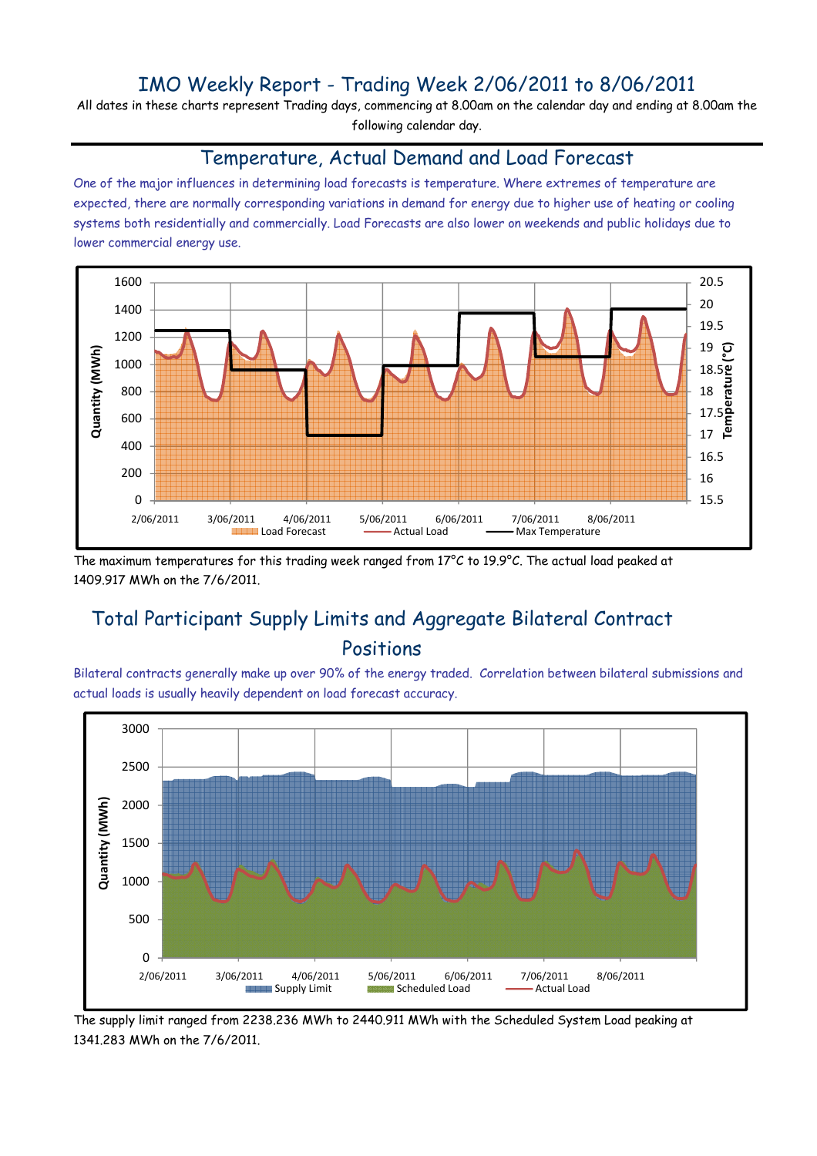## IMO Weekly Report - Trading Week 2/06/2011 to 8/06/2011

All dates in these charts represent Trading days, commencing at 8.00am on the calendar day and ending at 8.00am the following calendar day.

#### Temperature, Actual Demand and Load Forecast

One of the major influences in determining load forecasts is temperature. Where extremes of temperature are expected, there are normally corresponding variations in demand for energy due to higher use of heating or cooling systems both residentially and commercially. Load Forecasts are also lower on weekends and public holidays due to lower commercial energy use.



The maximum temperatures for this trading week ranged from 17°C to 19.9°C. The actual load peaked at 1409.917 MWh on the 7/6/2011.

# Total Participant Supply Limits and Aggregate Bilateral Contract Positions

Bilateral contracts generally make up over 90% of the energy traded. Correlation between bilateral submissions and actual loads is usually heavily dependent on load forecast accuracy.



The supply limit ranged from 2238.236 MWh to 2440.911 MWh with the Scheduled System Load peaking at 1341.283 MWh on the 7/6/2011.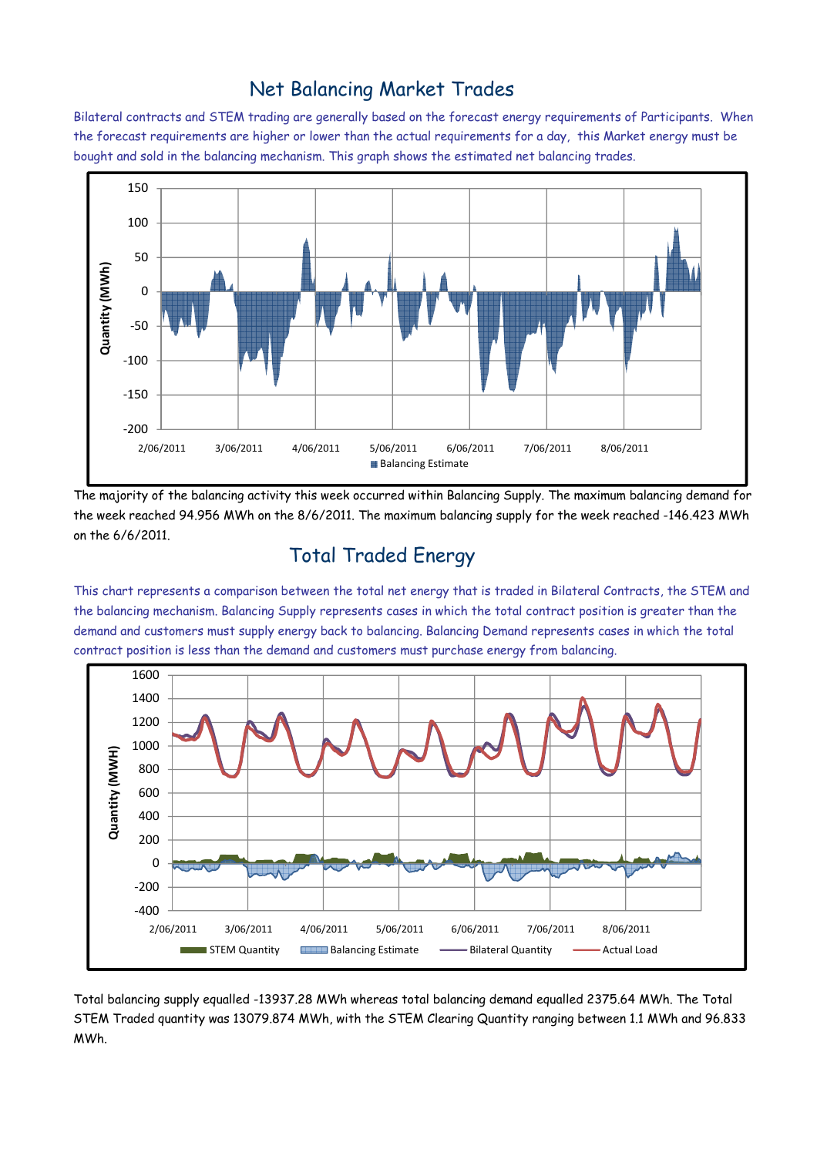### Net Balancing Market Trades

Bilateral contracts and STEM trading are generally based on the forecast energy requirements of Participants. When the forecast requirements are higher or lower than the actual requirements for a day, this Market energy must be bought and sold in the balancing mechanism. This graph shows the estimated net balancing trades.



The majority of the balancing activity this week occurred within Balancing Supply. The maximum balancing demand for the week reached 94.956 MWh on the 8/6/2011. The maximum balancing supply for the week reached -146.423 MWh on the 6/6/2011.

# Total Traded Energy

This chart represents a comparison between the total net energy that is traded in Bilateral Contracts, the STEM and the balancing mechanism. Balancing Supply represents cases in which the total contract position is greater than the demand and customers must supply energy back to balancing. Balancing Demand represents cases in which the total contract position is less than the demand and customers must purchase energy from balancing.



Total balancing supply equalled -13937.28 MWh whereas total balancing demand equalled 2375.64 MWh. The Total STEM Traded quantity was 13079.874 MWh, with the STEM Clearing Quantity ranging between 1.1 MWh and 96.833 MWh.